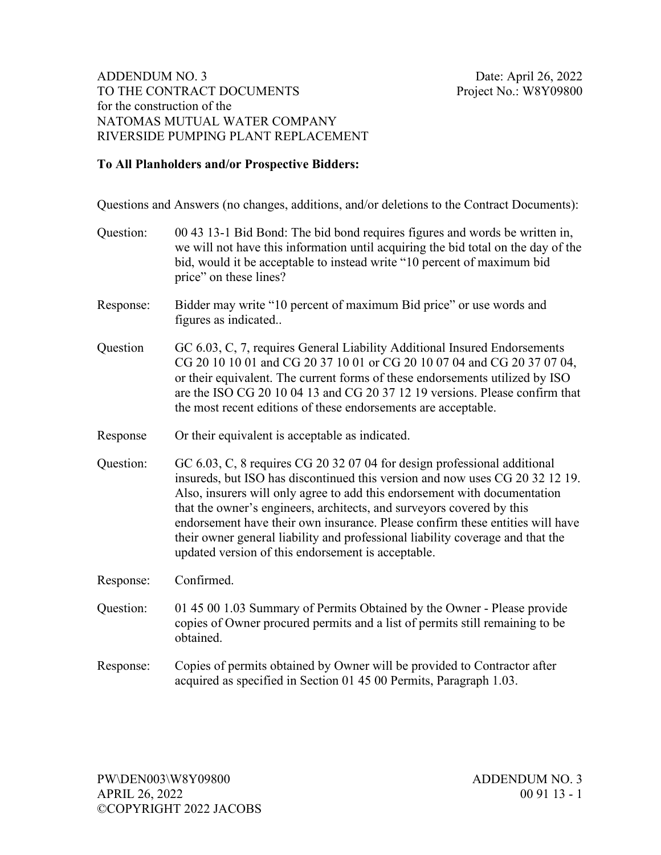## **To All Planholders and/or Prospective Bidders:**

Questions and Answers (no changes, additions, and/or deletions to the Contract Documents):

| Question: | 00 43 13-1 Bid Bond: The bid bond requires figures and words be written in,<br>we will not have this information until acquiring the bid total on the day of the<br>bid, would it be acceptable to instead write "10 percent of maximum bid<br>price" on these lines?                                                                                                                                                                                                                                                                   |
|-----------|-----------------------------------------------------------------------------------------------------------------------------------------------------------------------------------------------------------------------------------------------------------------------------------------------------------------------------------------------------------------------------------------------------------------------------------------------------------------------------------------------------------------------------------------|
| Response: | Bidder may write "10 percent of maximum Bid price" or use words and<br>figures as indicated                                                                                                                                                                                                                                                                                                                                                                                                                                             |
| Question  | GC 6.03, C, 7, requires General Liability Additional Insured Endorsements<br>CG 20 10 10 01 and CG 20 37 10 01 or CG 20 10 07 04 and CG 20 37 07 04,<br>or their equivalent. The current forms of these endorsements utilized by ISO<br>are the ISO CG 20 10 04 13 and CG 20 37 12 19 versions. Please confirm that<br>the most recent editions of these endorsements are acceptable.                                                                                                                                                   |
| Response  | Or their equivalent is acceptable as indicated.                                                                                                                                                                                                                                                                                                                                                                                                                                                                                         |
| Question: | GC 6.03, C, 8 requires CG 20 32 07 04 for design professional additional<br>insureds, but ISO has discontinued this version and now uses CG 20 32 12 19.<br>Also, insurers will only agree to add this endorsement with documentation<br>that the owner's engineers, architects, and surveyors covered by this<br>endorsement have their own insurance. Please confirm these entities will have<br>their owner general liability and professional liability coverage and that the<br>updated version of this endorsement is acceptable. |
| Response: | Confirmed.                                                                                                                                                                                                                                                                                                                                                                                                                                                                                                                              |
| Question: | 01 45 00 1.03 Summary of Permits Obtained by the Owner - Please provide<br>copies of Owner procured permits and a list of permits still remaining to be<br>obtained.                                                                                                                                                                                                                                                                                                                                                                    |
| Response: | Copies of permits obtained by Owner will be provided to Contractor after<br>acquired as specified in Section 01 45 00 Permits, Paragraph 1.03.                                                                                                                                                                                                                                                                                                                                                                                          |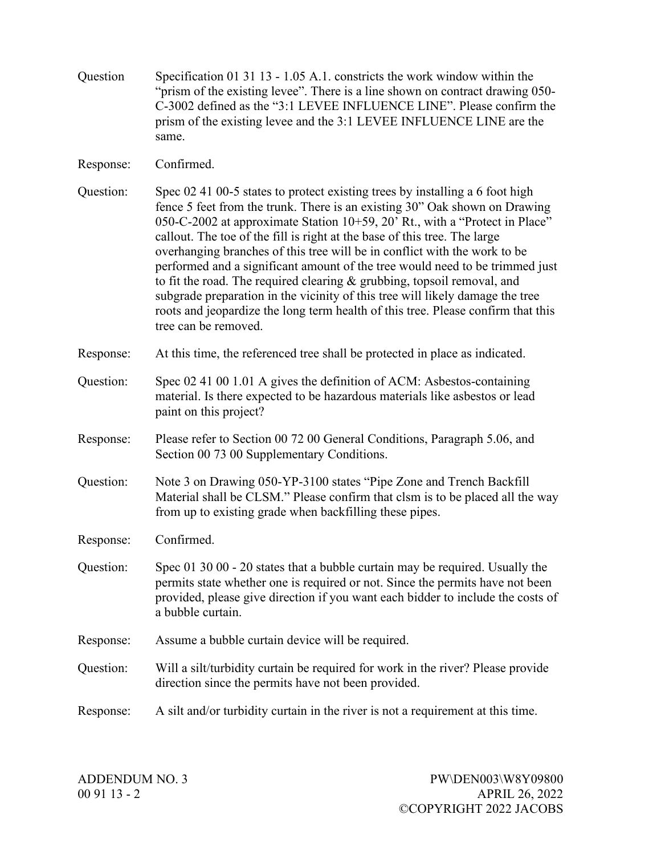| Question  | Specification 01 31 13 - 1.05 A.1. constricts the work window within the<br>"prism of the existing levee". There is a line shown on contract drawing 050-<br>C-3002 defined as the "3:1 LEVEE INFLUENCE LINE". Please confirm the<br>prism of the existing levee and the 3:1 LEVEE INFLUENCE LINE are the<br>same.                                                                                                                                                                                                                                                                                                                                                                                                                                          |
|-----------|-------------------------------------------------------------------------------------------------------------------------------------------------------------------------------------------------------------------------------------------------------------------------------------------------------------------------------------------------------------------------------------------------------------------------------------------------------------------------------------------------------------------------------------------------------------------------------------------------------------------------------------------------------------------------------------------------------------------------------------------------------------|
| Response: | Confirmed.                                                                                                                                                                                                                                                                                                                                                                                                                                                                                                                                                                                                                                                                                                                                                  |
| Question: | Spec 02 41 00-5 states to protect existing trees by installing a 6 foot high<br>fence 5 feet from the trunk. There is an existing 30" Oak shown on Drawing<br>050-C-2002 at approximate Station 10+59, 20' Rt., with a "Protect in Place"<br>callout. The toe of the fill is right at the base of this tree. The large<br>overhanging branches of this tree will be in conflict with the work to be<br>performed and a significant amount of the tree would need to be trimmed just<br>to fit the road. The required clearing & grubbing, topsoil removal, and<br>subgrade preparation in the vicinity of this tree will likely damage the tree<br>roots and jeopardize the long term health of this tree. Please confirm that this<br>tree can be removed. |
| Response: | At this time, the referenced tree shall be protected in place as indicated.                                                                                                                                                                                                                                                                                                                                                                                                                                                                                                                                                                                                                                                                                 |
| Question: | Spec 02 41 00 1.01 A gives the definition of ACM: Asbestos-containing<br>material. Is there expected to be hazardous materials like asbestos or lead<br>paint on this project?                                                                                                                                                                                                                                                                                                                                                                                                                                                                                                                                                                              |
| Response: | Please refer to Section 00 72 00 General Conditions, Paragraph 5.06, and<br>Section 00 73 00 Supplementary Conditions.                                                                                                                                                                                                                                                                                                                                                                                                                                                                                                                                                                                                                                      |
| Question: | Note 3 on Drawing 050-YP-3100 states "Pipe Zone and Trench Backfill<br>Material shall be CLSM." Please confirm that clsm is to be placed all the way<br>from up to existing grade when backfilling these pipes.                                                                                                                                                                                                                                                                                                                                                                                                                                                                                                                                             |
| Response: | Confirmed.                                                                                                                                                                                                                                                                                                                                                                                                                                                                                                                                                                                                                                                                                                                                                  |
| Question: | Spec 01 30 00 - 20 states that a bubble curtain may be required. Usually the<br>permits state whether one is required or not. Since the permits have not been<br>provided, please give direction if you want each bidder to include the costs of<br>a bubble curtain.                                                                                                                                                                                                                                                                                                                                                                                                                                                                                       |
| Response: | Assume a bubble curtain device will be required.                                                                                                                                                                                                                                                                                                                                                                                                                                                                                                                                                                                                                                                                                                            |
| Question: | Will a silt/turbidity curtain be required for work in the river? Please provide<br>direction since the permits have not been provided.                                                                                                                                                                                                                                                                                                                                                                                                                                                                                                                                                                                                                      |
| Response: | A silt and/or turbidity curtain in the river is not a requirement at this time.                                                                                                                                                                                                                                                                                                                                                                                                                                                                                                                                                                                                                                                                             |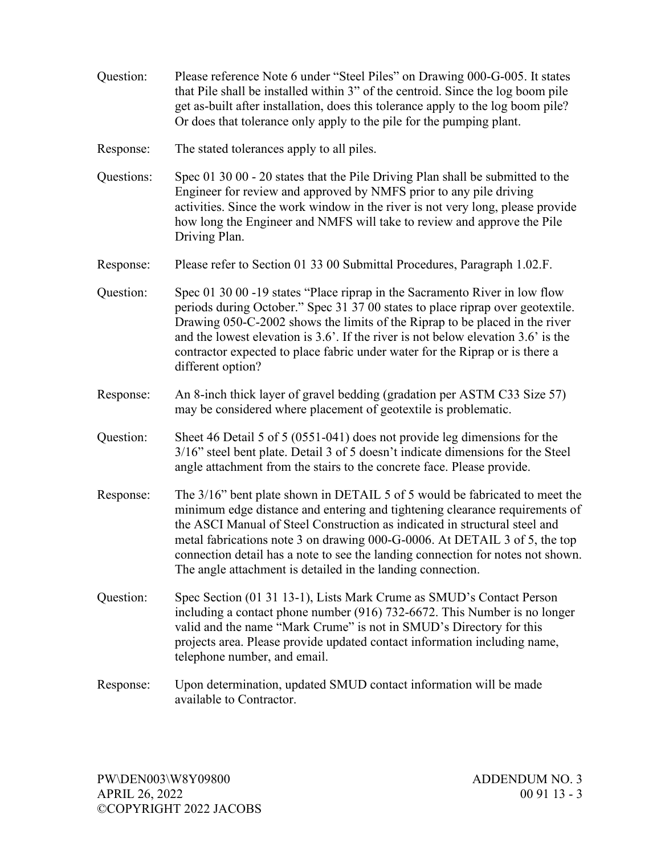Question: Please reference Note 6 under "Steel Piles" on Drawing 000-G-005. It states that Pile shall be installed within 3" of the centroid. Since the log boom pile get as-built after installation, does this tolerance apply to the log boom pile? Or does that tolerance only apply to the pile for the pumping plant. Response: The stated tolerances apply to all piles. Questions: Spec 01 30 00 - 20 states that the Pile Driving Plan shall be submitted to the Engineer for review and approved by NMFS prior to any pile driving activities. Since the work window in the river is not very long, please provide how long the Engineer and NMFS will take to review and approve the Pile Driving Plan. Response: Please refer to Section 01 33 00 Submittal Procedures, Paragraph 1.02.F. Question: Spec 01 30 00 -19 states "Place riprap in the Sacramento River in low flow periods during October." Spec 31 37 00 states to place riprap over geotextile. Drawing 050-C-2002 shows the limits of the Riprap to be placed in the river and the lowest elevation is 3.6'. If the river is not below elevation 3.6' is the contractor expected to place fabric under water for the Riprap or is there a different option? Response: An 8-inch thick layer of gravel bedding (gradation per ASTM C33 Size 57) may be considered where placement of geotextile is problematic. Question: Sheet 46 Detail 5 of 5 (0551-041) does not provide leg dimensions for the 3/16" steel bent plate. Detail 3 of 5 doesn't indicate dimensions for the Steel angle attachment from the stairs to the concrete face. Please provide. Response: The 3/16" bent plate shown in DETAIL 5 of 5 would be fabricated to meet the minimum edge distance and entering and tightening clearance requirements of the ASCI Manual of Steel Construction as indicated in structural steel and metal fabrications note 3 on drawing 000-G-0006. At DETAIL 3 of 5, the top connection detail has a note to see the landing connection for notes not shown. The angle attachment is detailed in the landing connection. Question: Spec Section (01 31 13-1), Lists Mark Crume as SMUD's Contact Person including a contact phone number (916) 732-6672. This Number is no longer valid and the name "Mark Crume" is not in SMUD's Directory for this projects area. Please provide updated contact information including name, telephone number, and email. Response: Upon determination, updated SMUD contact information will be made available to Contractor.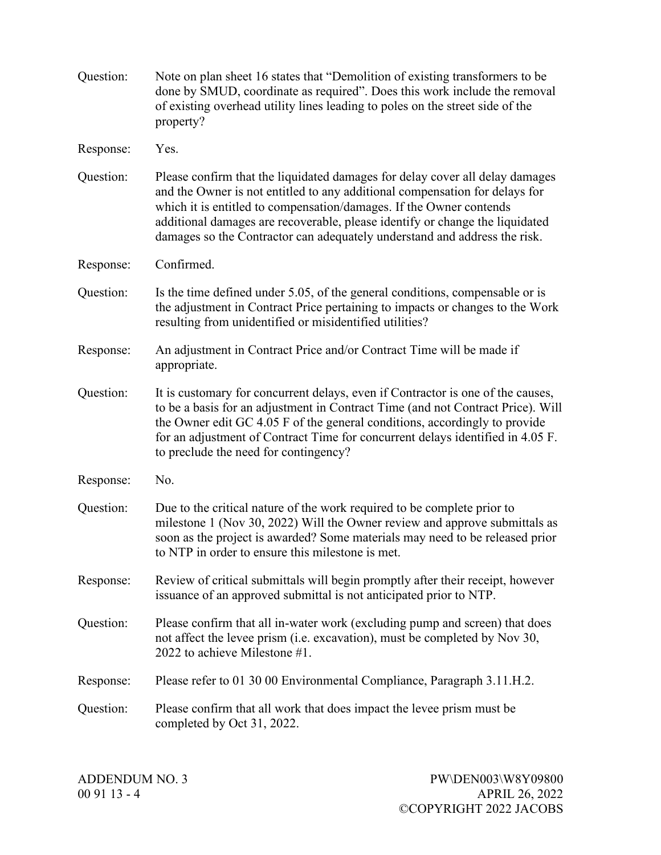| Question: | Note on plan sheet 16 states that "Demolition of existing transformers to be<br>done by SMUD, coordinate as required". Does this work include the removal<br>of existing overhead utility lines leading to poles on the street side of the<br>property?                                                                                                                                         |
|-----------|-------------------------------------------------------------------------------------------------------------------------------------------------------------------------------------------------------------------------------------------------------------------------------------------------------------------------------------------------------------------------------------------------|
| Response: | Yes.                                                                                                                                                                                                                                                                                                                                                                                            |
| Question: | Please confirm that the liquidated damages for delay cover all delay damages<br>and the Owner is not entitled to any additional compensation for delays for<br>which it is entitled to compensation/damages. If the Owner contends<br>additional damages are recoverable, please identify or change the liquidated<br>damages so the Contractor can adequately understand and address the risk. |
| Response: | Confirmed.                                                                                                                                                                                                                                                                                                                                                                                      |
| Question: | Is the time defined under 5.05, of the general conditions, compensable or is<br>the adjustment in Contract Price pertaining to impacts or changes to the Work<br>resulting from unidentified or misidentified utilities?                                                                                                                                                                        |
| Response: | An adjustment in Contract Price and/or Contract Time will be made if<br>appropriate.                                                                                                                                                                                                                                                                                                            |
| Question: | It is customary for concurrent delays, even if Contractor is one of the causes,<br>to be a basis for an adjustment in Contract Time (and not Contract Price). Will<br>the Owner edit GC 4.05 F of the general conditions, accordingly to provide<br>for an adjustment of Contract Time for concurrent delays identified in 4.05 F.<br>to preclude the need for contingency?                     |
| Response: | No.                                                                                                                                                                                                                                                                                                                                                                                             |
| Question: | Due to the critical nature of the work required to be complete prior to<br>milestone 1 (Nov 30, 2022) Will the Owner review and approve submittals as<br>soon as the project is awarded? Some materials may need to be released prior<br>to NTP in order to ensure this milestone is met.                                                                                                       |
| Response: | Review of critical submittals will begin promptly after their receipt, however<br>issuance of an approved submittal is not anticipated prior to NTP.                                                                                                                                                                                                                                            |
| Question: | Please confirm that all in-water work (excluding pump and screen) that does<br>not affect the levee prism (i.e. excavation), must be completed by Nov 30,<br>2022 to achieve Milestone $#1$ .                                                                                                                                                                                                   |
| Response: | Please refer to 01 30 00 Environmental Compliance, Paragraph 3.11.H.2.                                                                                                                                                                                                                                                                                                                          |
| Question: | Please confirm that all work that does impact the levee prism must be<br>completed by Oct 31, 2022.                                                                                                                                                                                                                                                                                             |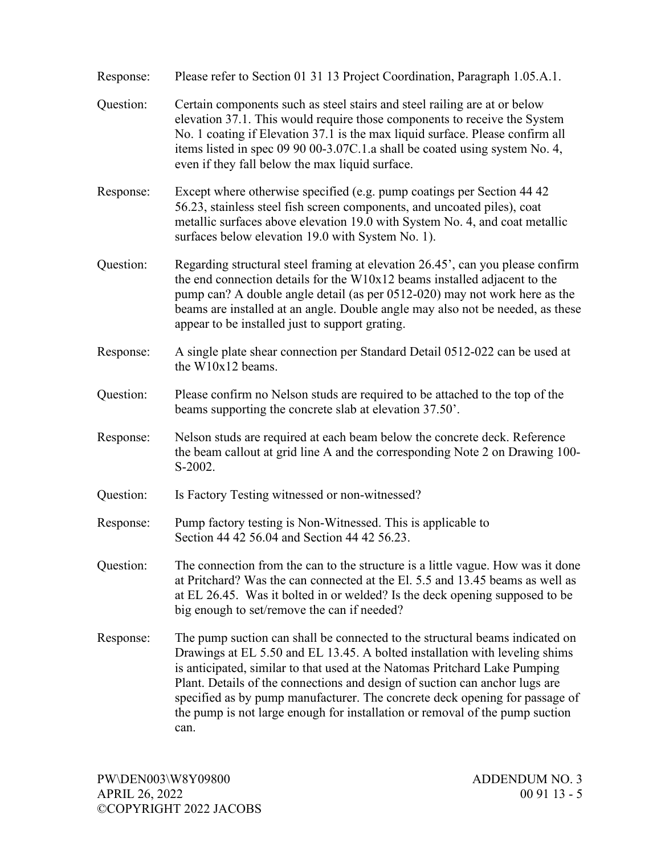| Response: | Please refer to Section 01 31 13 Project Coordination, Paragraph 1.05.A.1.                                                                                                                                                                                                                                                                                                                                                                                                                      |
|-----------|-------------------------------------------------------------------------------------------------------------------------------------------------------------------------------------------------------------------------------------------------------------------------------------------------------------------------------------------------------------------------------------------------------------------------------------------------------------------------------------------------|
| Question: | Certain components such as steel stairs and steel railing are at or below<br>elevation 37.1. This would require those components to receive the System<br>No. 1 coating if Elevation 37.1 is the max liquid surface. Please confirm all<br>items listed in spec 09 90 00-3.07C.1.a shall be coated using system No. 4,<br>even if they fall below the max liquid surface.                                                                                                                       |
| Response: | Except where otherwise specified (e.g. pump coatings per Section 44 42)<br>56.23, stainless steel fish screen components, and uncoated piles), coat<br>metallic surfaces above elevation 19.0 with System No. 4, and coat metallic<br>surfaces below elevation 19.0 with System No. 1).                                                                                                                                                                                                         |
| Question: | Regarding structural steel framing at elevation 26.45', can you please confirm<br>the end connection details for the $W10x12$ beams installed adjacent to the<br>pump can? A double angle detail (as per 0512-020) may not work here as the<br>beams are installed at an angle. Double angle may also not be needed, as these<br>appear to be installed just to support grating.                                                                                                                |
| Response: | A single plate shear connection per Standard Detail 0512-022 can be used at<br>the W10x12 beams.                                                                                                                                                                                                                                                                                                                                                                                                |
| Question: | Please confirm no Nelson studs are required to be attached to the top of the<br>beams supporting the concrete slab at elevation 37.50.                                                                                                                                                                                                                                                                                                                                                          |
| Response: | Nelson studs are required at each beam below the concrete deck. Reference<br>the beam callout at grid line A and the corresponding Note 2 on Drawing 100-<br>S-2002.                                                                                                                                                                                                                                                                                                                            |
| Question: | Is Factory Testing witnessed or non-witnessed?                                                                                                                                                                                                                                                                                                                                                                                                                                                  |
| Response: | Pump factory testing is Non-Witnessed. This is applicable to<br>Section 44 42 56.04 and Section 44 42 56.23.                                                                                                                                                                                                                                                                                                                                                                                    |
| Question: | The connection from the can to the structure is a little vague. How was it done<br>at Pritchard? Was the can connected at the El. 5.5 and 13.45 beams as well as<br>at EL 26.45. Was it bolted in or welded? Is the deck opening supposed to be<br>big enough to set/remove the can if needed?                                                                                                                                                                                                  |
| Response: | The pump suction can shall be connected to the structural beams indicated on<br>Drawings at EL 5.50 and EL 13.45. A bolted installation with leveling shims<br>is anticipated, similar to that used at the Natomas Pritchard Lake Pumping<br>Plant. Details of the connections and design of suction can anchor lugs are<br>specified as by pump manufacturer. The concrete deck opening for passage of<br>the pump is not large enough for installation or removal of the pump suction<br>can. |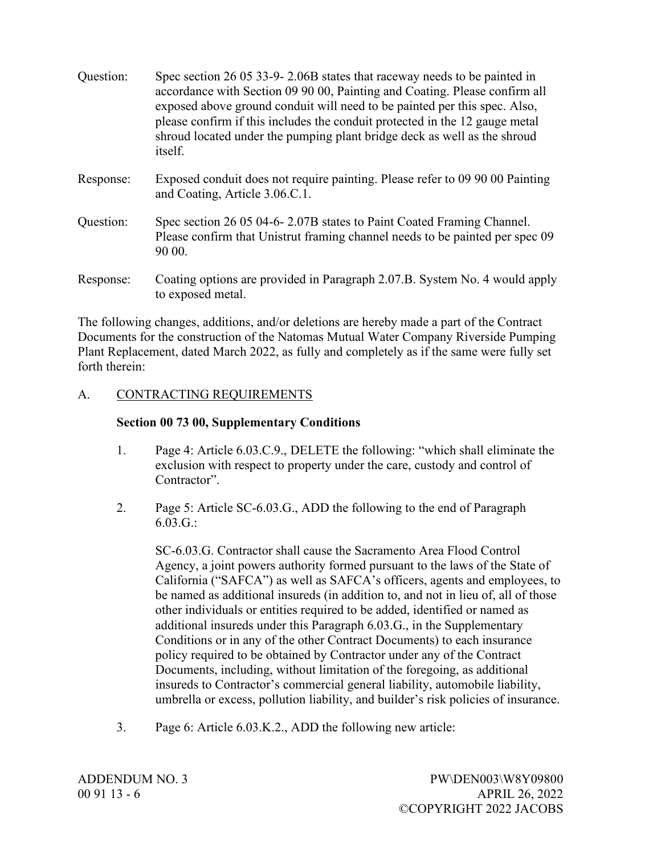| Question: | Spec section 26 05 33-9-2.06B states that raceway needs to be painted in<br>accordance with Section 09 90 00, Painting and Coating. Please confirm all<br>exposed above ground conduit will need to be painted per this spec. Also,<br>please confirm if this includes the conduit protected in the 12 gauge metal<br>shroud located under the pumping plant bridge deck as well as the shroud<br><i>itself.</i> |
|-----------|------------------------------------------------------------------------------------------------------------------------------------------------------------------------------------------------------------------------------------------------------------------------------------------------------------------------------------------------------------------------------------------------------------------|
| Response: | Exposed conduit does not require painting. Please refer to 09 90 00 Painting<br>and Coating, Article 3.06.C.1.                                                                                                                                                                                                                                                                                                   |
| Question: | Spec section 26 05 04-6-2.07B states to Paint Coated Framing Channel.<br>Please confirm that Unistrut framing channel needs to be painted per spec 09<br>90 00.                                                                                                                                                                                                                                                  |
| Response: | Coating options are provided in Paragraph 2.07.B. System No. 4 would apply<br>to exposed metal.                                                                                                                                                                                                                                                                                                                  |

The following changes, additions, and/or deletions are hereby made a part of the Contract Documents for the construction of the Natomas Mutual Water Company Riverside Pumping Plant Replacement, dated March 2022, as fully and completely as if the same were fully set forth therein:

#### A. CONTRACTING REQUIREMENTS

#### **Section 00 73 00, Supplementary Conditions**

- 1. Page 4: Article 6.03.C.9., DELETE the following: "which shall eliminate the exclusion with respect to property under the care, custody and control of Contractor".
- 2. Page 5: Article SC-6.03.G., ADD the following to the end of Paragraph 6.03.G.:

SC-6.03.G. Contractor shall cause the Sacramento Area Flood Control Agency, a joint powers authority formed pursuant to the laws of the State of California ("SAFCA") as well as SAFCA's officers, agents and employees, to be named as additional insureds (in addition to, and not in lieu of, all of those other individuals or entities required to be added, identified or named as additional insureds under this Paragraph 6.03.G., in the Supplementary Conditions or in any of the other Contract Documents) to each insurance policy required to be obtained by Contractor under any of the Contract Documents, including, without limitation of the foregoing, as additional insureds to Contractor's commercial general liability, automobile liability, umbrella or excess, pollution liability, and builder's risk policies of insurance.

3. Page 6: Article 6.03.K.2., ADD the following new article: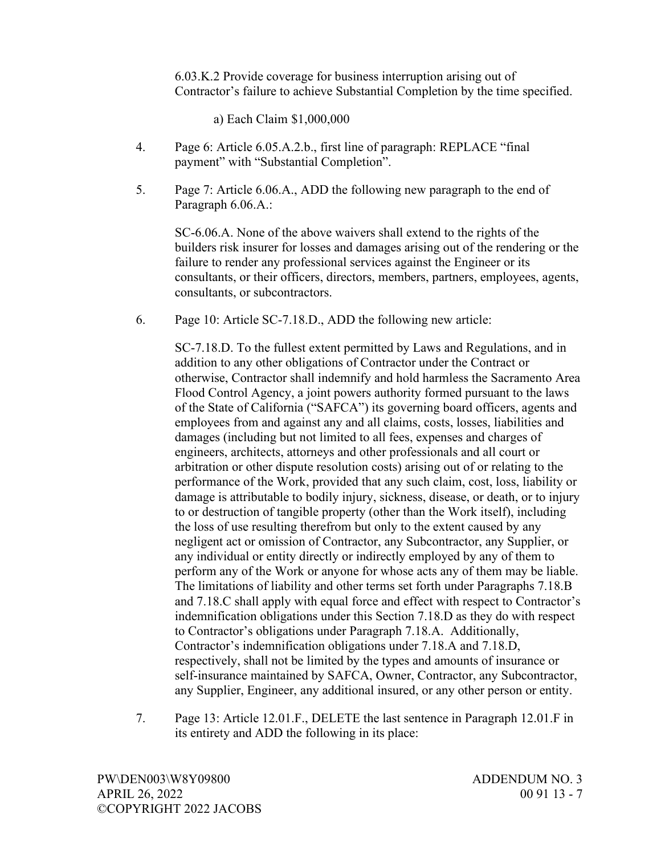6.03.K.2 Provide coverage for business interruption arising out of Contractor's failure to achieve Substantial Completion by the time specified.

a) Each Claim \$1,000,000

- 4. Page 6: Article 6.05.A.2.b., first line of paragraph: REPLACE "final payment" with "Substantial Completion".
- 5. Page 7: Article 6.06.A., ADD the following new paragraph to the end of Paragraph 6.06.A.:

SC-6.06.A. None of the above waivers shall extend to the rights of the builders risk insurer for losses and damages arising out of the rendering or the failure to render any professional services against the Engineer or its consultants, or their officers, directors, members, partners, employees, agents, consultants, or subcontractors.

6. Page 10: Article SC-7.18.D., ADD the following new article:

SC-7.18.D. To the fullest extent permitted by Laws and Regulations, and in addition to any other obligations of Contractor under the Contract or otherwise, Contractor shall indemnify and hold harmless the Sacramento Area Flood Control Agency, a joint powers authority formed pursuant to the laws of the State of California ("SAFCA") its governing board officers, agents and employees from and against any and all claims, costs, losses, liabilities and damages (including but not limited to all fees, expenses and charges of engineers, architects, attorneys and other professionals and all court or arbitration or other dispute resolution costs) arising out of or relating to the performance of the Work, provided that any such claim, cost, loss, liability or damage is attributable to bodily injury, sickness, disease, or death, or to injury to or destruction of tangible property (other than the Work itself), including the loss of use resulting therefrom but only to the extent caused by any negligent act or omission of Contractor, any Subcontractor, any Supplier, or any individual or entity directly or indirectly employed by any of them to perform any of the Work or anyone for whose acts any of them may be liable. The limitations of liability and other terms set forth under Paragraphs 7.18.B and 7.18.C shall apply with equal force and effect with respect to Contractor's indemnification obligations under this Section 7.18.D as they do with respect to Contractor's obligations under Paragraph 7.18.A. Additionally, Contractor's indemnification obligations under 7.18.A and 7.18.D, respectively, shall not be limited by the types and amounts of insurance or self-insurance maintained by SAFCA, Owner, Contractor, any Subcontractor, any Supplier, Engineer, any additional insured, or any other person or entity.

7. Page 13: Article 12.01.F., DELETE the last sentence in Paragraph 12.01.F in its entirety and ADD the following in its place: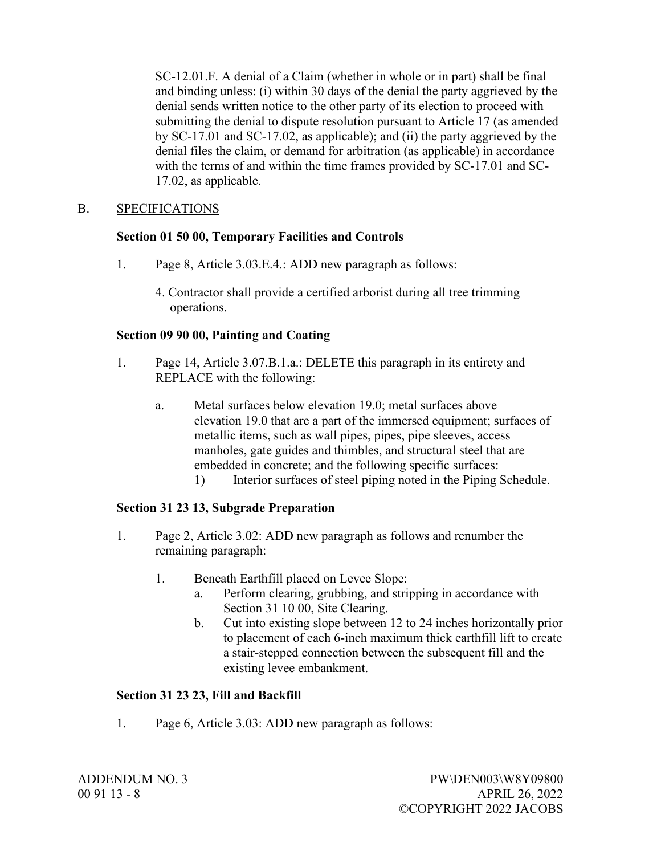SC-12.01.F. A denial of a Claim (whether in whole or in part) shall be final and binding unless: (i) within 30 days of the denial the party aggrieved by the denial sends written notice to the other party of its election to proceed with submitting the denial to dispute resolution pursuant to Article 17 (as amended by SC-17.01 and SC-17.02, as applicable); and (ii) the party aggrieved by the denial files the claim, or demand for arbitration (as applicable) in accordance with the terms of and within the time frames provided by SC-17.01 and SC-17.02, as applicable.

## B. SPECIFICATIONS

#### **Section 01 50 00, Temporary Facilities and Controls**

- 1. Page 8, Article 3.03.E.4.: ADD new paragraph as follows:
	- 4. Contractor shall provide a certified arborist during all tree trimming operations.

#### **Section 09 90 00, Painting and Coating**

- 1. Page 14, Article 3.07.B.1.a.: DELETE this paragraph in its entirety and REPLACE with the following:
	- a. Metal surfaces below elevation 19.0; metal surfaces above elevation 19.0 that are a part of the immersed equipment; surfaces of metallic items, such as wall pipes, pipes, pipe sleeves, access manholes, gate guides and thimbles, and structural steel that are embedded in concrete; and the following specific surfaces: 1) Interior surfaces of steel piping noted in the Piping Schedule.

# **Section 31 23 13, Subgrade Preparation**

- 1. Page 2, Article 3.02: ADD new paragraph as follows and renumber the remaining paragraph:
	- 1. Beneath Earthfill placed on Levee Slope:
		- a. Perform clearing, grubbing, and stripping in accordance with Section 31 10 00, Site Clearing.
		- b. Cut into existing slope between 12 to 24 inches horizontally prior to placement of each 6-inch maximum thick earthfill lift to create a stair-stepped connection between the subsequent fill and the existing levee embankment.

## **Section 31 23 23, Fill and Backfill**

1. Page 6, Article 3.03: ADD new paragraph as follows: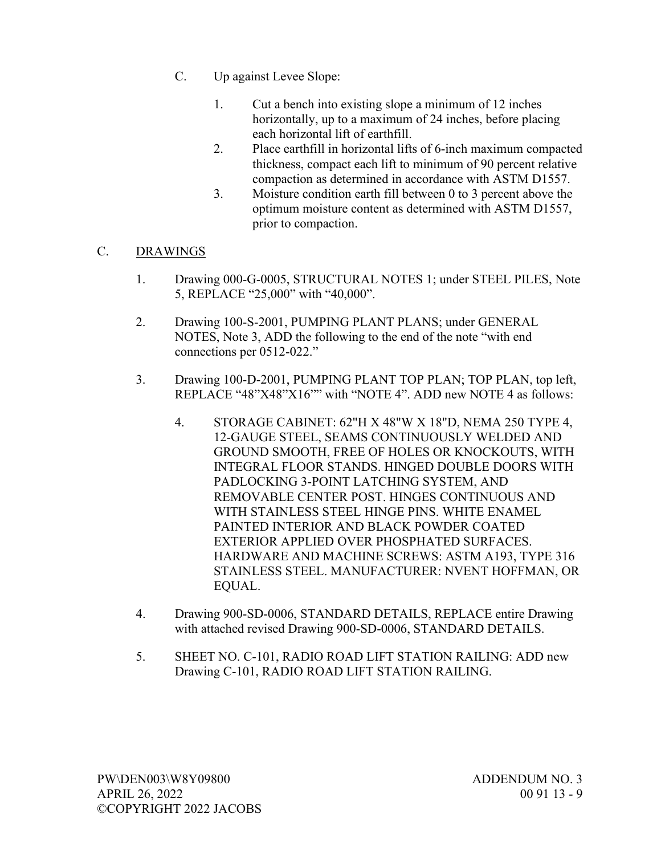- C. Up against Levee Slope:
	- 1. Cut a bench into existing slope a minimum of 12 inches horizontally, up to a maximum of 24 inches, before placing each horizontal lift of earthfill.
	- 2. Place earthfill in horizontal lifts of 6-inch maximum compacted thickness, compact each lift to minimum of 90 percent relative compaction as determined in accordance with ASTM D1557.
	- 3. Moisture condition earth fill between 0 to 3 percent above the optimum moisture content as determined with ASTM D1557, prior to compaction.

## C. DRAWINGS

- 1. Drawing 000-G-0005, STRUCTURAL NOTES 1; under STEEL PILES, Note 5, REPLACE "25,000" with "40,000".
- 2. Drawing 100-S-2001, PUMPING PLANT PLANS; under GENERAL NOTES, Note 3, ADD the following to the end of the note "with end connections per 0512-022."
- 3. Drawing 100-D-2001, PUMPING PLANT TOP PLAN; TOP PLAN, top left, REPLACE "48"X48"X16"" with "NOTE 4". ADD new NOTE 4 as follows:
	- 4. STORAGE CABINET: 62"H X 48"W X 18"D, NEMA 250 TYPE 4, 12-GAUGE STEEL, SEAMS CONTINUOUSLY WELDED AND GROUND SMOOTH, FREE OF HOLES OR KNOCKOUTS, WITH INTEGRAL FLOOR STANDS. HINGED DOUBLE DOORS WITH PADLOCKING 3-POINT LATCHING SYSTEM, AND REMOVABLE CENTER POST. HINGES CONTINUOUS AND WITH STAINLESS STEEL HINGE PINS. WHITE ENAMEL PAINTED INTERIOR AND BLACK POWDER COATED EXTERIOR APPLIED OVER PHOSPHATED SURFACES. HARDWARE AND MACHINE SCREWS: ASTM A193, TYPE 316 STAINLESS STEEL. MANUFACTURER: NVENT HOFFMAN, OR EQUAL.
- 4. Drawing 900-SD-0006, STANDARD DETAILS, REPLACE entire Drawing with attached revised Drawing 900-SD-0006, STANDARD DETAILS.
- 5. SHEET NO. C-101, RADIO ROAD LIFT STATION RAILING: ADD new Drawing C-101, RADIO ROAD LIFT STATION RAILING.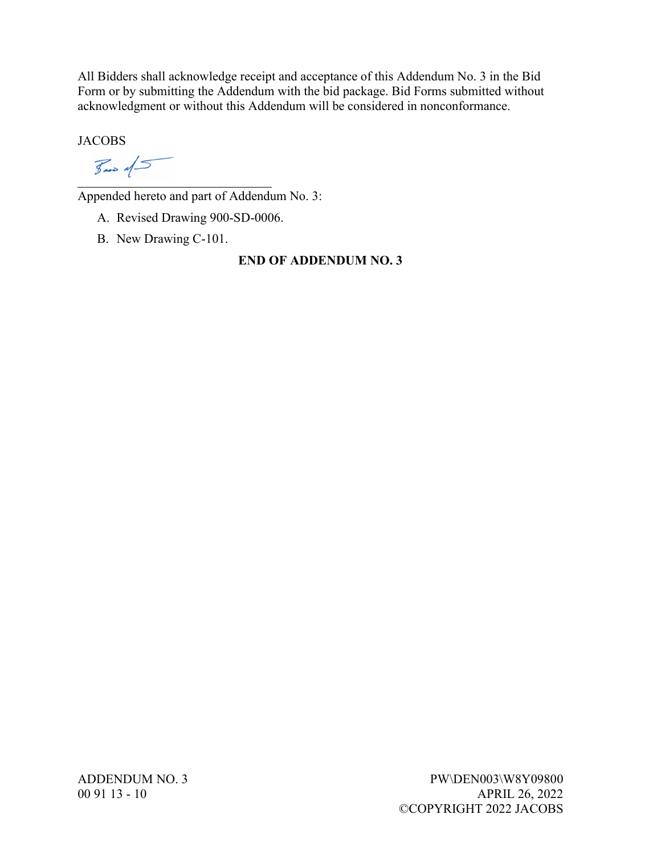All Bidders shall acknowledge receipt and acceptance of this Addendum No. 3 in the Bid Form or by submitting the Addendum with the bid package. Bid Forms submitted without acknowledgment or without this Addendum will be considered in nonconformance.

**JACOBS** 

 $\frac{1}{2}$  and  $\frac{1}{2}$ 

 $\overline{a}$ Appended hereto and part of Addendum No. 3:

A. Revised Drawing 900-SD-0006.

B. New Drawing C-101.

## **END OF ADDENDUM NO. 3**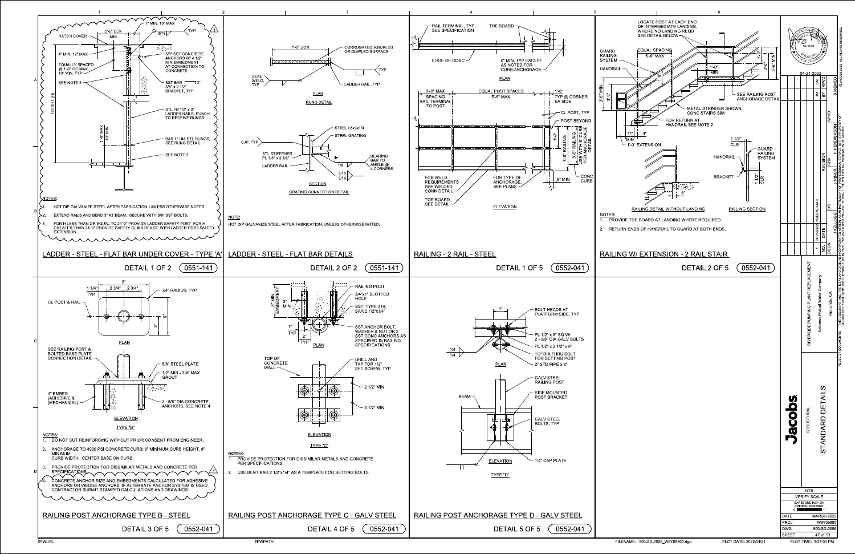